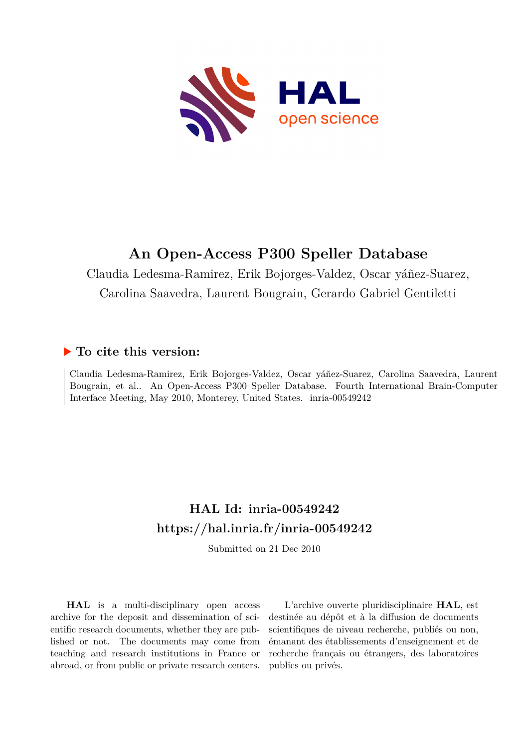

#### **An Open-Access P300 Speller Database**

Claudia Ledesma-Ramirez, Erik Bojorges-Valdez, Oscar yáñez-Suarez, Carolina Saavedra, Laurent Bougrain, Gerardo Gabriel Gentiletti

#### **To cite this version:**

Claudia Ledesma-Ramirez, Erik Bojorges-Valdez, Oscar yáñez-Suarez, Carolina Saavedra, Laurent Bougrain, et al.. An Open-Access P300 Speller Database. Fourth International Brain-Computer Interface Meeting, May 2010, Monterey, United States. inria-00549242

#### **HAL Id: inria-00549242 <https://hal.inria.fr/inria-00549242>**

Submitted on 21 Dec 2010

**HAL** is a multi-disciplinary open access archive for the deposit and dissemination of scientific research documents, whether they are published or not. The documents may come from teaching and research institutions in France or abroad, or from public or private research centers.

L'archive ouverte pluridisciplinaire **HAL**, est destinée au dépôt et à la diffusion de documents scientifiques de niveau recherche, publiés ou non, émanant des établissements d'enseignement et de recherche français ou étrangers, des laboratoires publics ou privés.